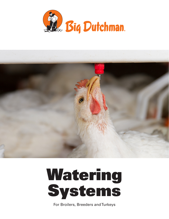





For Broilers, Breeders and Turkeys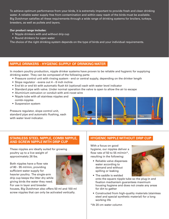To achieve optimum performance from your birds, it is extremely important to provide fresh and clean drinking water. A reliable water supply free from contamination and within easy reach of the birds must be available. Big Dutchman satisfies all these requirements through a wide range of drinking systems for broilers, turkeys, breeders, as well as pullets and layers.

#### **Our product range includes:**

- Nipple drinkers with and without drip cup
- Round drinkers for open water

The choice of the right drinking system depends on the type of birds and your individual requirements.

# **NIPPLE DRINKERS - HYGIENIC SUPPLY OF DRINKING WATER**

In modern poultry production, nipple drinker systems have proven to be reliable and hygienic for supplying drinking water. They can be composed of the following parts:

- Pressure control unit with rinsing system end or central supply, depending on the drinker length
- Slope regulator evens out 4 6 inch incline
- End kit or end kit with automatic flush kit (optional) each with water level indicator
- Standard pipe with valve. Under normal operation the valve is open to allow the air to escape
- Aluminium extrusion or conduit with anti-roost wire
- Nipple tube with all stainless nipples and combi-nipples
- Suspension system

Pressure regulator, slope control unit, standard pipe and automatic flushing, each with water level indicator.



# **STAINLESS STEEL NIPPLE, COMBI NIPPLE, AND SCREW NIPPLE WITH DRIP CUP**

These nipples are ideally suited for growing poultry up to a live weight of approximately 26 lbs.

Both nipples have a flow rate of 80 - 95 ml/min, providing sufficient water supply for heavier poultry. The single-arm drip cup keeps the litter dry while giving birds the water they need. For use in layer and breeder



houses, Big Dutchman also offers 50 ml and 100 ml screw nipples that can only be activated vertically.

# **HYGIENIC NIPPLE WITHOUT DRIP CUP**

With a focus on good hygiene, our nipples deliver a flow rate of 50 to 55 ml/min\*, resulting in the following:

- Reliable valve dispenses water according to demand and without spilling or leaking
- The saddle is welded

onto the square nipple tube so the plug-in and fixation mechanism guarantees maximum housing hygiene and does not create any areas for dirt to gather

• Constructed from high-quality materials (stainless steel and special synthetic material) for a long working life

\*At 20 cm water column

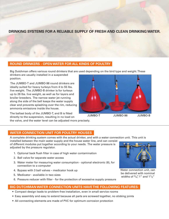# **DRINKING SYSTEMS FOR A RELIABLE SUPPLY OF FRESH AND CLEAN DRINKING WATER.**

#### **ROUND DRINKERS - OPEN WATER FOR ALL KINDS OF POULTRY**

Big Dutchman offers various round drinkers that are used depending on the bird type and weight. These

drinkers are usually installed in a suspended position.

 The JUMBO-T and JUMBO-98 round drinkers are ideally suited for heavy turkeys from 4 to 55 lbs. live weight. The JUMBO-B drinker is for turkeys up to 26 lbs. live weight, as well as for layers and broiler breeders. The narrow water jet running along the side of the bell keeps the water supply clear and prevents splashing over the rim, reducing ammonia emissions inside the house.

The ballast body of the JUMBO-T, and B is fitted directly to the suspension, resulting in no load on the valve, and the water level can be adjusted more precisely.



# **WATER CONNECTION UNIT FOR POULTRY HOUSES**

A complete drinking system comes with the actual drinker, and with a water connection unit. This unit is

installed between the main water supply and the house water line, and can consist of different modules put together according to your needs. The water pressure is adjusted by the pressure regulator.

- 1. Optional back flush filter in case of high water contamination
- 2. Ball valve for separate water access
- 3. Water meter for measuring water consumption optional electronic (8), for connection to a computer
- 4. Bypass with 3 ball valves medicator hook up
- 5. Medicator available in two sizes
- 6. Pressure reducer with filter for the protection of excessive supply pressure

Water connection unit, can be delivered with nominal widths of  $\frac{3}{4}$ , 1" and  $\frac{11}{2}$ "

# **BIG DUTCHMAN WATER CONNECTION UNITS HAVE THE FOLLOWING FEATURES:**

- Compact design leads to problem-free installation, even in small service rooms
- Easy assembly and easy to extend because all parts are screwed together, no sticking joints
- All connecting elements are made of PVC for optimum corrosion protection